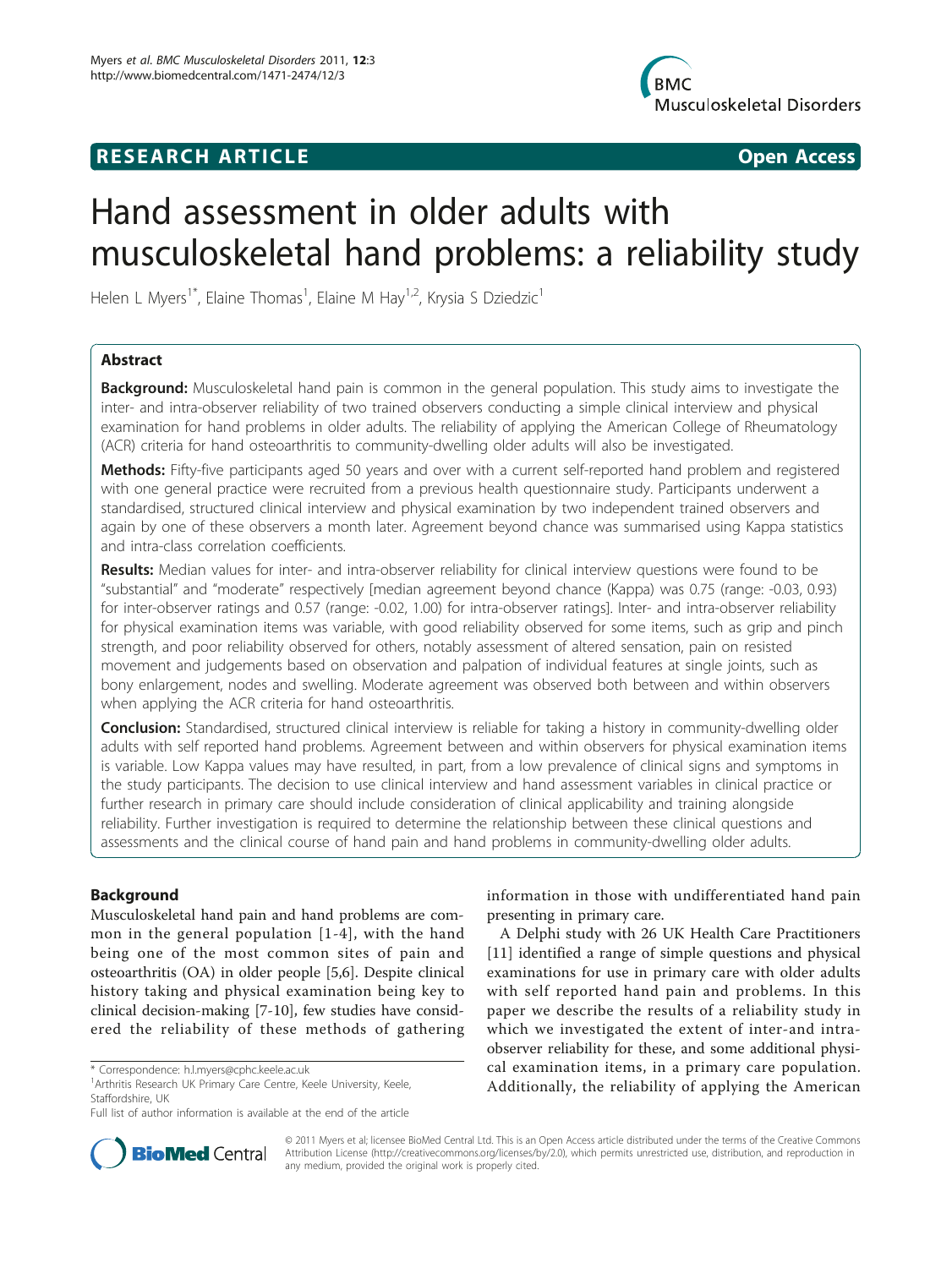## **RESEARCH ARTICLE Example 2014 CONSUMING ACCESS**



# Hand assessment in older adults with musculoskeletal hand problems: a reliability study

Helen L Myers<sup>1\*</sup>, Elaine Thomas<sup>1</sup>, Elaine M Hay<sup>1,2</sup>, Krysia S Dziedzic<sup>1</sup>

## Abstract

**Background:** Musculoskeletal hand pain is common in the general population. This study aims to investigate the inter- and intra-observer reliability of two trained observers conducting a simple clinical interview and physical examination for hand problems in older adults. The reliability of applying the American College of Rheumatology (ACR) criteria for hand osteoarthritis to community-dwelling older adults will also be investigated.

Methods: Fifty-five participants aged 50 years and over with a current self-reported hand problem and registered with one general practice were recruited from a previous health questionnaire study. Participants underwent a standardised, structured clinical interview and physical examination by two independent trained observers and again by one of these observers a month later. Agreement beyond chance was summarised using Kappa statistics and intra-class correlation coefficients.

Results: Median values for inter- and intra-observer reliability for clinical interview questions were found to be "substantial" and "moderate" respectively [median agreement beyond chance (Kappa) was 0.75 (range: -0.03, 0.93) for inter-observer ratings and 0.57 (range: -0.02, 1.00) for intra-observer ratings]. Inter- and intra-observer reliability for physical examination items was variable, with good reliability observed for some items, such as grip and pinch strength, and poor reliability observed for others, notably assessment of altered sensation, pain on resisted movement and judgements based on observation and palpation of individual features at single joints, such as bony enlargement, nodes and swelling. Moderate agreement was observed both between and within observers when applying the ACR criteria for hand osteoarthritis.

Conclusion: Standardised, structured clinical interview is reliable for taking a history in community-dwelling older adults with self reported hand problems. Agreement between and within observers for physical examination items is variable. Low Kappa values may have resulted, in part, from a low prevalence of clinical signs and symptoms in the study participants. The decision to use clinical interview and hand assessment variables in clinical practice or further research in primary care should include consideration of clinical applicability and training alongside reliability. Further investigation is required to determine the relationship between these clinical questions and assessments and the clinical course of hand pain and hand problems in community-dwelling older adults.

## Background

Musculoskeletal hand pain and hand problems are common in the general population [[1](#page-7-0)-[4\]](#page-7-0), with the hand being one of the most common sites of pain and osteoarthritis (OA) in older people [\[5,6](#page-7-0)]. Despite clinical history taking and physical examination being key to clinical decision-making [[7-10\]](#page-7-0), few studies have considered the reliability of these methods of gathering



A Delphi study with 26 UK Health Care Practitioners [[11\]](#page-7-0) identified a range of simple questions and physical examinations for use in primary care with older adults with self reported hand pain and problems. In this paper we describe the results of a reliability study in which we investigated the extent of inter-and intraobserver reliability for these, and some additional physical examination items, in a primary care population. Additionally, the reliability of applying the American



© 2011 Myers et al; licensee BioMed Central Ltd. This is an Open Access article distributed under the terms of the Creative Commons Attribution License [\(http://creativecommons.org/licenses/by/2.0](http://creativecommons.org/licenses/by/2.0)), which permits unrestricted use, distribution, and reproduction in any medium, provided the original work is properly cited.

<sup>\*</sup> Correspondence: [h.l.myers@cphc.keele.ac.uk](mailto:h.l.myers@cphc.keele.ac.uk)

<sup>&</sup>lt;sup>1</sup> Arthritis Research UK Primary Care Centre, Keele University, Keele, Staffordshire, UK

Full list of author information is available at the end of the article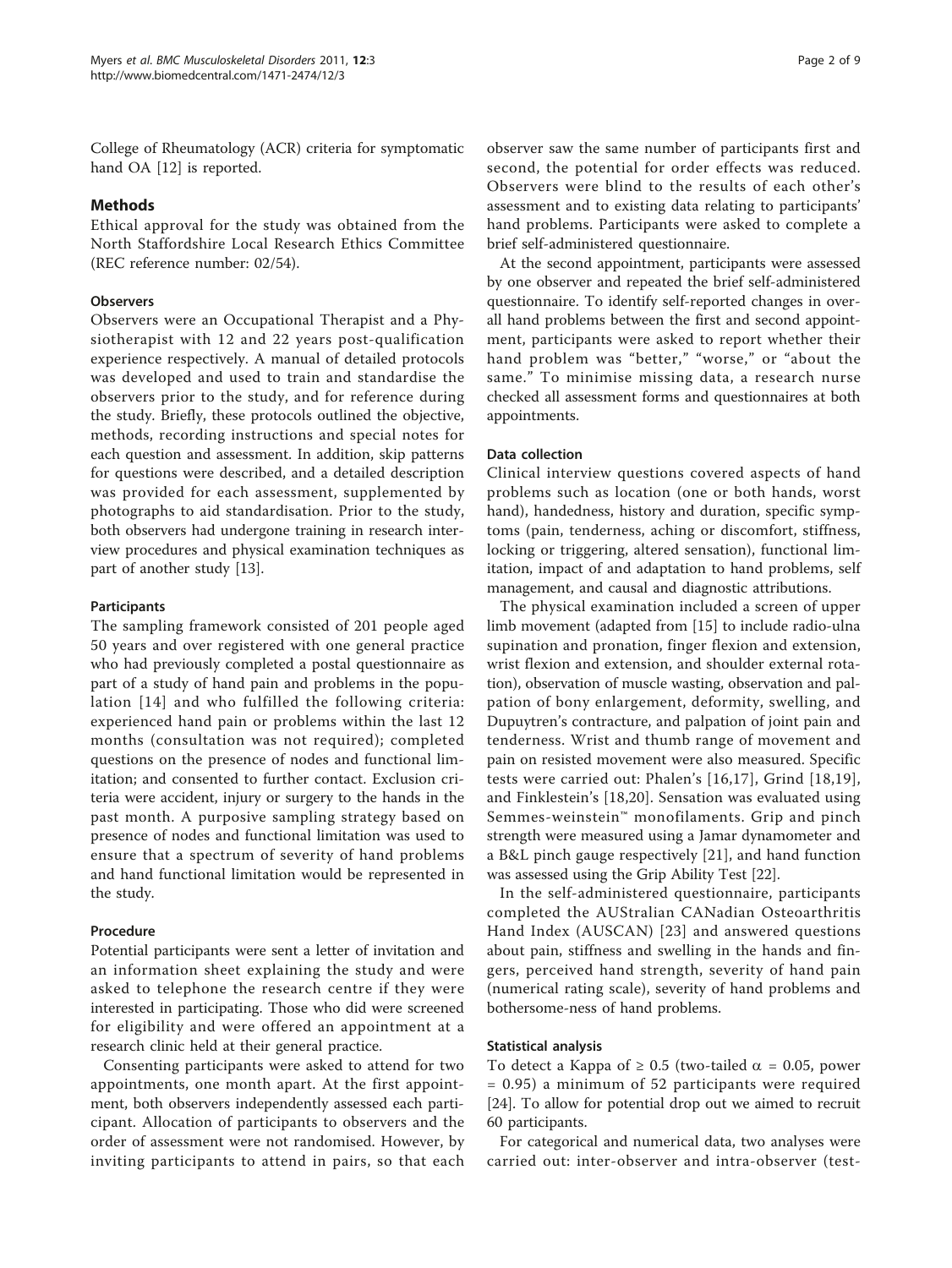College of Rheumatology (ACR) criteria for symptomatic hand OA [\[12\]](#page-7-0) is reported.

## Methods

Ethical approval for the study was obtained from the North Staffordshire Local Research Ethics Committee (REC reference number: 02/54).

## **Observers**

Observers were an Occupational Therapist and a Physiotherapist with 12 and 22 years post-qualification experience respectively. A manual of detailed protocols was developed and used to train and standardise the observers prior to the study, and for reference during the study. Briefly, these protocols outlined the objective, methods, recording instructions and special notes for each question and assessment. In addition, skip patterns for questions were described, and a detailed description was provided for each assessment, supplemented by photographs to aid standardisation. Prior to the study, both observers had undergone training in research interview procedures and physical examination techniques as part of another study [\[13](#page-7-0)].

## Participants

The sampling framework consisted of 201 people aged 50 years and over registered with one general practice who had previously completed a postal questionnaire as part of a study of hand pain and problems in the population [[14](#page-7-0)] and who fulfilled the following criteria: experienced hand pain or problems within the last 12 months (consultation was not required); completed questions on the presence of nodes and functional limitation; and consented to further contact. Exclusion criteria were accident, injury or surgery to the hands in the past month. A purposive sampling strategy based on presence of nodes and functional limitation was used to ensure that a spectrum of severity of hand problems and hand functional limitation would be represented in the study.

## Procedure

Potential participants were sent a letter of invitation and an information sheet explaining the study and were asked to telephone the research centre if they were interested in participating. Those who did were screened for eligibility and were offered an appointment at a research clinic held at their general practice.

Consenting participants were asked to attend for two appointments, one month apart. At the first appointment, both observers independently assessed each participant. Allocation of participants to observers and the order of assessment were not randomised. However, by inviting participants to attend in pairs, so that each

observer saw the same number of participants first and second, the potential for order effects was reduced. Observers were blind to the results of each other's assessment and to existing data relating to participants' hand problems. Participants were asked to complete a brief self-administered questionnaire.

At the second appointment, participants were assessed by one observer and repeated the brief self-administered questionnaire. To identify self-reported changes in overall hand problems between the first and second appointment, participants were asked to report whether their hand problem was "better," "worse," or "about the same." To minimise missing data, a research nurse checked all assessment forms and questionnaires at both appointments.

## Data collection

Clinical interview questions covered aspects of hand problems such as location (one or both hands, worst hand), handedness, history and duration, specific symptoms (pain, tenderness, aching or discomfort, stiffness, locking or triggering, altered sensation), functional limitation, impact of and adaptation to hand problems, self management, and causal and diagnostic attributions.

The physical examination included a screen of upper limb movement (adapted from [\[15](#page-7-0)] to include radio-ulna supination and pronation, finger flexion and extension, wrist flexion and extension, and shoulder external rotation), observation of muscle wasting, observation and palpation of bony enlargement, deformity, swelling, and Dupuytren's contracture, and palpation of joint pain and tenderness. Wrist and thumb range of movement and pain on resisted movement were also measured. Specific tests were carried out: Phalen's [[16](#page-7-0),[17](#page-7-0)], Grind [[18](#page-7-0),[19\]](#page-7-0), and Finklestein's [[18,20\]](#page-7-0). Sensation was evaluated using Semmes-weinstein™ monofilaments. Grip and pinch strength were measured using a Jamar dynamometer and a B&L pinch gauge respectively [[21\]](#page-7-0), and hand function was assessed using the Grip Ability Test [\[22](#page-7-0)].

In the self-administered questionnaire, participants completed the AUStralian CANadian Osteoarthritis Hand Index (AUSCAN) [[23\]](#page-7-0) and answered questions about pain, stiffness and swelling in the hands and fingers, perceived hand strength, severity of hand pain (numerical rating scale), severity of hand problems and bothersome-ness of hand problems.

## Statistical analysis

To detect a Kappa of  $\geq 0.5$  (two-tailed  $\alpha = 0.05$ , power = 0.95) a minimum of 52 participants were required [[24\]](#page-8-0). To allow for potential drop out we aimed to recruit 60 participants.

For categorical and numerical data, two analyses were carried out: inter-observer and intra-observer (test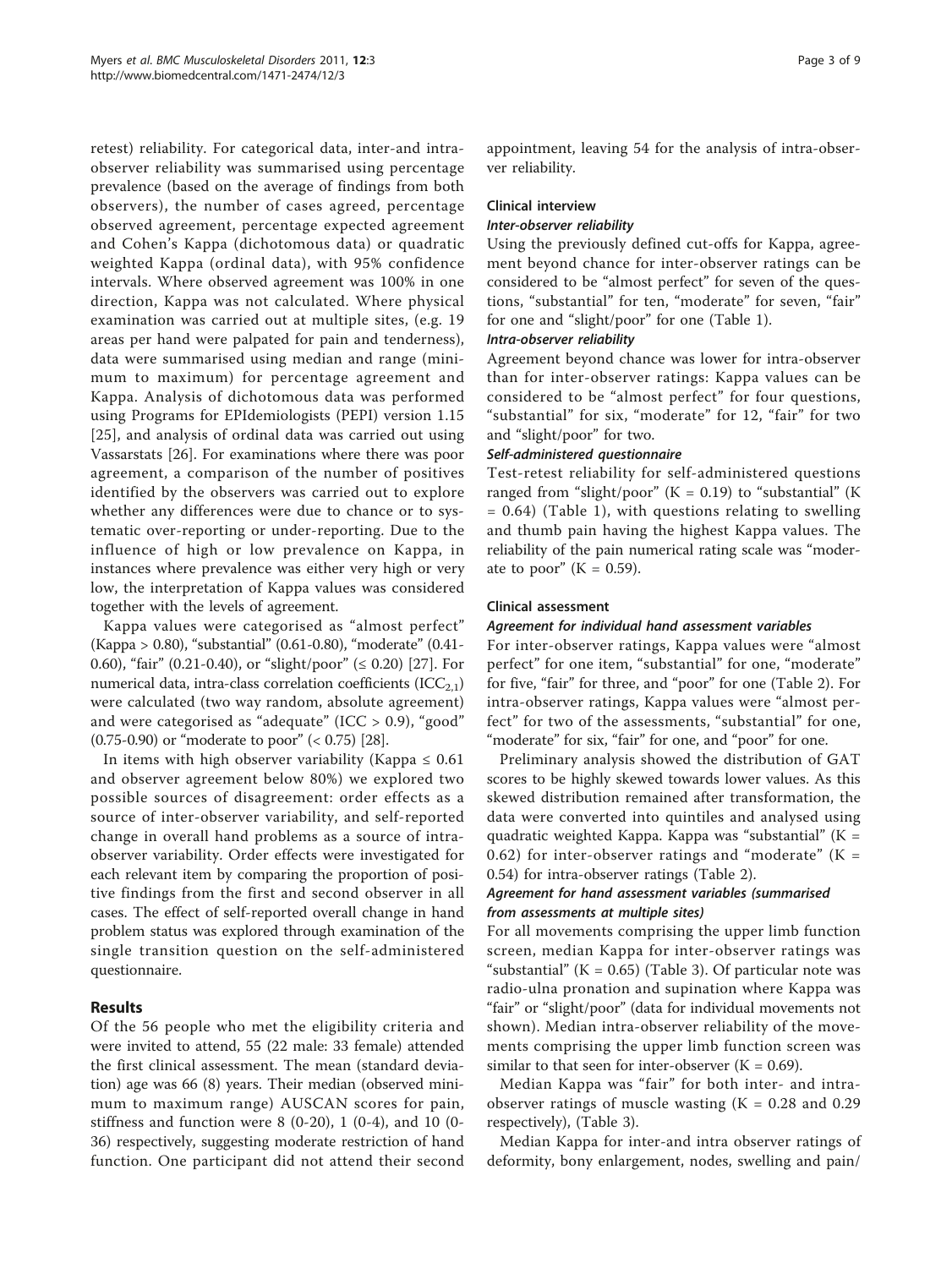retest) reliability. For categorical data, inter-and intraobserver reliability was summarised using percentage prevalence (based on the average of findings from both observers), the number of cases agreed, percentage observed agreement, percentage expected agreement and Cohen's Kappa (dichotomous data) or quadratic weighted Kappa (ordinal data), with 95% confidence intervals. Where observed agreement was 100% in one direction, Kappa was not calculated. Where physical examination was carried out at multiple sites, (e.g. 19 areas per hand were palpated for pain and tenderness), data were summarised using median and range (minimum to maximum) for percentage agreement and Kappa. Analysis of dichotomous data was performed using Programs for EPIdemiologists (PEPI) version 1.15 [[25](#page-8-0)], and analysis of ordinal data was carried out using Vassarstats [\[26\]](#page-8-0). For examinations where there was poor agreement, a comparison of the number of positives identified by the observers was carried out to explore whether any differences were due to chance or to systematic over-reporting or under-reporting. Due to the influence of high or low prevalence on Kappa, in instances where prevalence was either very high or very low, the interpretation of Kappa values was considered together with the levels of agreement.

Kappa values were categorised as "almost perfect" (Kappa > 0.80), "substantial" (0.61-0.80), "moderate" (0.41- 0.60), "fair" (0.21-0.40), or "slight/poor" (≤ 0.20) [[27](#page-8-0)]. For numerical data, intra-class correlation coefficients  $(ICC_{2,1})$ were calculated (two way random, absolute agreement) and were categorised as "adequate" (ICC  $> 0.9$ ), "good" (0.75-0.90) or "moderate to poor" (< 0.75) [[28](#page-8-0)].

In items with high observer variability (Kappa  $\leq 0.61$ and observer agreement below 80%) we explored two possible sources of disagreement: order effects as a source of inter-observer variability, and self-reported change in overall hand problems as a source of intraobserver variability. Order effects were investigated for each relevant item by comparing the proportion of positive findings from the first and second observer in all cases. The effect of self-reported overall change in hand problem status was explored through examination of the single transition question on the self-administered questionnaire.

## Results

Of the 56 people who met the eligibility criteria and were invited to attend, 55 (22 male: 33 female) attended the first clinical assessment. The mean (standard deviation) age was 66 (8) years. Their median (observed minimum to maximum range) AUSCAN scores for pain, stiffness and function were 8 (0-20), 1 (0-4), and 10 (0-36) respectively, suggesting moderate restriction of hand function. One participant did not attend their second appointment, leaving 54 for the analysis of intra-observer reliability.

## Clinical interview

## Inter-observer reliability

Using the previously defined cut-offs for Kappa, agreement beyond chance for inter-observer ratings can be considered to be "almost perfect" for seven of the questions, "substantial" for ten, "moderate" for seven, "fair" for one and "slight/poor" for one (Table [1\)](#page-3-0).

## Intra-observer reliability

Agreement beyond chance was lower for intra-observer than for inter-observer ratings: Kappa values can be considered to be "almost perfect" for four questions, "substantial" for six, "moderate" for 12, "fair" for two and "slight/poor" for two.

## Self-administered questionnaire

Test-retest reliability for self-administered questions ranged from "slight/poor" ( $K = 0.19$ ) to "substantial" (K  $= 0.64$ ) (Table [1](#page-3-0)), with questions relating to swelling and thumb pain having the highest Kappa values. The reliability of the pain numerical rating scale was "moderate to poor"  $(K = 0.59)$ .

## Clinical assessment

## Agreement for individual hand assessment variables

For inter-observer ratings, Kappa values were "almost perfect" for one item, "substantial" for one, "moderate" for five, "fair" for three, and "poor" for one (Table [2](#page-4-0)). For intra-observer ratings, Kappa values were "almost perfect" for two of the assessments, "substantial" for one, "moderate" for six, "fair" for one, and "poor" for one.

Preliminary analysis showed the distribution of GAT scores to be highly skewed towards lower values. As this skewed distribution remained after transformation, the data were converted into quintiles and analysed using quadratic weighted Kappa. Kappa was "substantial" (K = 0.62) for inter-observer ratings and "moderate" ( $K =$ 0.54) for intra-observer ratings (Table [2](#page-4-0)).

## Agreement for hand assessment variables (summarised from assessments at multiple sites)

For all movements comprising the upper limb function screen, median Kappa for inter-observer ratings was "substantial" ( $K = 0.65$ ) (Table [3\)](#page-4-0). Of particular note was radio-ulna pronation and supination where Kappa was "fair" or "slight/poor" (data for individual movements not shown). Median intra-observer reliability of the movements comprising the upper limb function screen was similar to that seen for inter-observer  $(K = 0.69)$ .

Median Kappa was "fair" for both inter- and intraobserver ratings of muscle wasting  $(K = 0.28$  and 0.29 respectively), (Table [3\)](#page-4-0).

Median Kappa for inter-and intra observer ratings of deformity, bony enlargement, nodes, swelling and pain/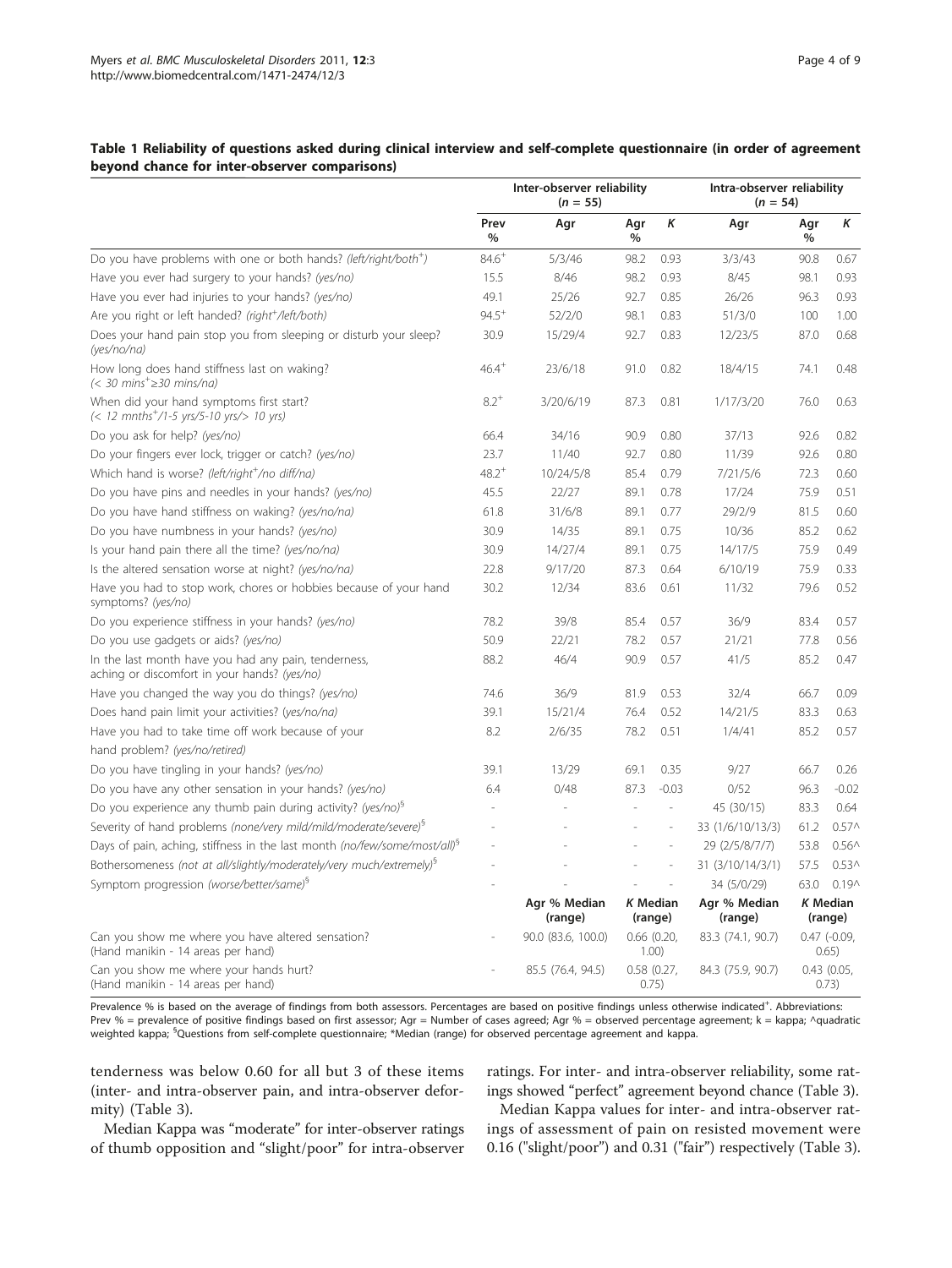## <span id="page-3-0"></span>Table 1 Reliability of questions asked during clinical interview and self-complete questionnaire (in order of agreement beyond chance for inter-observer comparisons)

|                                                                                                         | Inter-observer reliability<br>$(n = 55)$ |                         |          | Intra-observer reliability<br>$(n = 54)$ |                         |          |                          |
|---------------------------------------------------------------------------------------------------------|------------------------------------------|-------------------------|----------|------------------------------------------|-------------------------|----------|--------------------------|
|                                                                                                         | Prev<br>%                                | Agr                     | Agr<br>% | Κ                                        | Agr                     | Agr<br>% | Κ                        |
| Do you have problems with one or both hands? (left/right/both <sup>+</sup> )                            | $84.6^{+}$                               | 5/3/46                  | 98.2     | 0.93                                     | 3/3/43                  | 90.8     | 0.67                     |
| Have you ever had surgery to your hands? (yes/no)                                                       | 15.5                                     | 8/46                    | 98.2     | 0.93                                     | 8/45                    | 98.1     | 0.93                     |
| Have you ever had injuries to your hands? (yes/no)                                                      | 49.1                                     | 25/26                   | 92.7     | 0.85                                     | 26/26                   | 96.3     | 0.93                     |
| Are you right or left handed? (right <sup>+</sup> /left/both)                                           | $94.5^{+}$                               | 52/2/0                  | 98.1     | 0.83                                     | 51/3/0                  | 100      | 1.00                     |
| Does your hand pain stop you from sleeping or disturb your sleep?<br>(yes/no/na)                        | 30.9                                     | 15/29/4                 | 92.7     | 0.83                                     | 12/23/5                 | 87.0     | 0.68                     |
| How long does hand stiffness last on waking?<br>$\ll$ 30 mins <sup>+</sup> $\geq$ 30 mins/na)           | $46.4^{+}$                               | 23/6/18                 | 91.0     | 0.82                                     | 18/4/15                 | 74.1     | 0.48                     |
| When did your hand symptoms first start?<br>$\approx$ 12 mnths <sup>+</sup> /1-5 yrs/5-10 yrs/> 10 yrs) | $8.2^{+}$                                | 3/20/6/19               | 87.3     | 0.81                                     | 1/17/3/20               | 76.0     | 0.63                     |
| Do you ask for help? (yes/no)                                                                           | 66.4                                     | 34/16                   | 90.9     | 0.80                                     | 37/13                   | 92.6     | 0.82                     |
| Do your fingers ever lock, trigger or catch? (yes/no)                                                   | 23.7                                     | 11/40                   | 92.7     | 0.80                                     | 11/39                   | 92.6     | 0.80                     |
| Which hand is worse? (left/right <sup>+</sup> /no diff/na)                                              | $48.2^{+}$                               | 10/24/5/8               | 85.4     | 0.79                                     | 7/21/5/6                | 72.3     | 0.60                     |
| Do you have pins and needles in your hands? (yes/no)                                                    | 45.5                                     | 22/27                   | 89.1     | 0.78                                     | 17/24                   | 75.9     | 0.51                     |
| Do you have hand stiffness on waking? (yes/no/na)                                                       | 61.8                                     | 31/6/8                  | 89.1     | 0.77                                     | 29/2/9                  | 81.5     | 0.60                     |
| Do you have numbness in your hands? (yes/no)                                                            | 30.9                                     | 14/35                   | 89.1     | 0.75                                     | 10/36                   | 85.2     | 0.62                     |
| Is your hand pain there all the time? (yes/no/na)                                                       | 30.9                                     | 14/27/4                 | 89.1     | 0.75                                     | 14/17/5                 | 75.9     | 0.49                     |
| Is the altered sensation worse at night? (yes/no/na)                                                    | 22.8                                     | 9/17/20                 | 87.3     | 0.64                                     | 6/10/19                 | 75.9     | 0.33                     |
| Have you had to stop work, chores or hobbies because of your hand<br>symptoms? (yes/no)                 | 30.2                                     | 12/34                   | 83.6     | 0.61                                     | 11/32                   | 79.6     | 0.52                     |
| Do you experience stiffness in your hands? (yes/no)                                                     | 78.2                                     | 39/8                    | 85.4     | 0.57                                     | 36/9                    | 83.4     | 0.57                     |
| Do you use gadgets or aids? (yes/no)                                                                    | 50.9                                     | 22/21                   | 78.2     | 0.57                                     | 21/21                   | 77.8     | 0.56                     |
| In the last month have you had any pain, tenderness,<br>aching or discomfort in your hands? (yes/no)    | 88.2                                     | 46/4                    | 90.9     | 0.57                                     | 41/5                    | 85.2     | 0.47                     |
| Have you changed the way you do things? (yes/no)                                                        | 74.6                                     | 36/9                    | 81.9     | 0.53                                     | 32/4                    | 66.7     | 0.09                     |
| Does hand pain limit your activities? (yes/no/na)                                                       | 39.1                                     | 15/21/4                 | 76.4     | 0.52                                     | 14/21/5                 | 83.3     | 0.63                     |
| Have you had to take time off work because of your                                                      | 8.2                                      | 2/6/35                  | 78.2     | 0.51                                     | 1/4/41                  | 85.2     | 0.57                     |
| hand problem? (yes/no/retired)                                                                          |                                          |                         |          |                                          |                         |          |                          |
| Do you have tingling in your hands? (yes/no)                                                            | 39.1                                     | 13/29                   | 69.1     | 0.35                                     | 9/27                    | 66.7     | 0.26                     |
| Do you have any other sensation in your hands? (yes/no)                                                 | 6.4                                      | 0/48                    | 87.3     | $-0.03$                                  | 0/52                    | 96.3     | $-0.02$                  |
| Do you experience any thumb pain during activity? (yes/no) <sup>9</sup>                                 |                                          |                         |          | $\overline{a}$                           | 45 (30/15)              | 83.3     | 0.64                     |
| Severity of hand problems (none/very mild/mild/moderate/severe) <sup>9</sup>                            |                                          |                         |          | $\overline{a}$                           | 33 (1/6/10/13/3)        | 61.2     | $0.57^$                  |
| Days of pain, aching, stiffness in the last month (no/few/some/most/all) <sup>9</sup>                   | L,                                       |                         |          | ÷,                                       | 29 (2/5/8/7/7)          | 53.8     | $0.56^$                  |
| Bothersomeness (not at all/slightly/moderately/very much/extremely) <sup>§</sup>                        | J.                                       |                         |          | J.                                       | 31 (3/10/14/3/1)        | 57.5     | $0.53^$                  |
| Symptom progression (worse/better/same) <sup>§</sup>                                                    |                                          |                         |          |                                          | 34 (5/0/29)             | 63.0     | $0.19^$                  |
|                                                                                                         |                                          | Agr % Median<br>(range) |          | K Median<br>(range)                      | Agr % Median<br>(range) |          | K Median<br>(range)      |
| Can you show me where you have altered sensation?<br>(Hand manikin - 14 areas per hand)                 |                                          | 90.0 (83.6, 100.0)      |          | $0.66$ (0.20,<br>1.00)                   | 83.3 (74.1, 90.7)       |          | $0.47$ (-0.09,<br>0.65)  |
| Can you show me where your hands hurt?<br>(Hand manikin - 14 areas per hand)                            |                                          | 85.5 (76.4, 94.5)       |          | 0.58(0.27,<br>0.75)                      | 84.3 (75.9, 90.7)       |          | $0.43$ $(0.05,$<br>0.73) |

Prevalence % is based on the average of findings from both assessors. Percentages are based on positive findings unless otherwise indicated<sup>+</sup>. Abbreviations: Prev % = prevalence of positive findings based on first assessor; Agr = Number of cases agreed; Agr % = observed percentage agreement; k = kappa; ^quadratic weighted kappa; <sup>s</sup>Questions from self-complete questionnaire; \*Median (range) for observed percentage agreement and kappa.

tenderness was below 0.60 for all but 3 of these items (inter- and intra-observer pain, and intra-observer deformity) (Table [3](#page-4-0)).

ratings. For inter- and intra-observer reliability, some ratings showed "perfect" agreement beyond chance (Table [3](#page-4-0)).

Median Kappa was "moderate" for inter-observer ratings of thumb opposition and "slight/poor" for intra-observer

Median Kappa values for inter- and intra-observer ratings of assessment of pain on resisted movement were 0.16 ("slight/poor") and 0.31 ("fair") respectively (Table [3](#page-4-0)).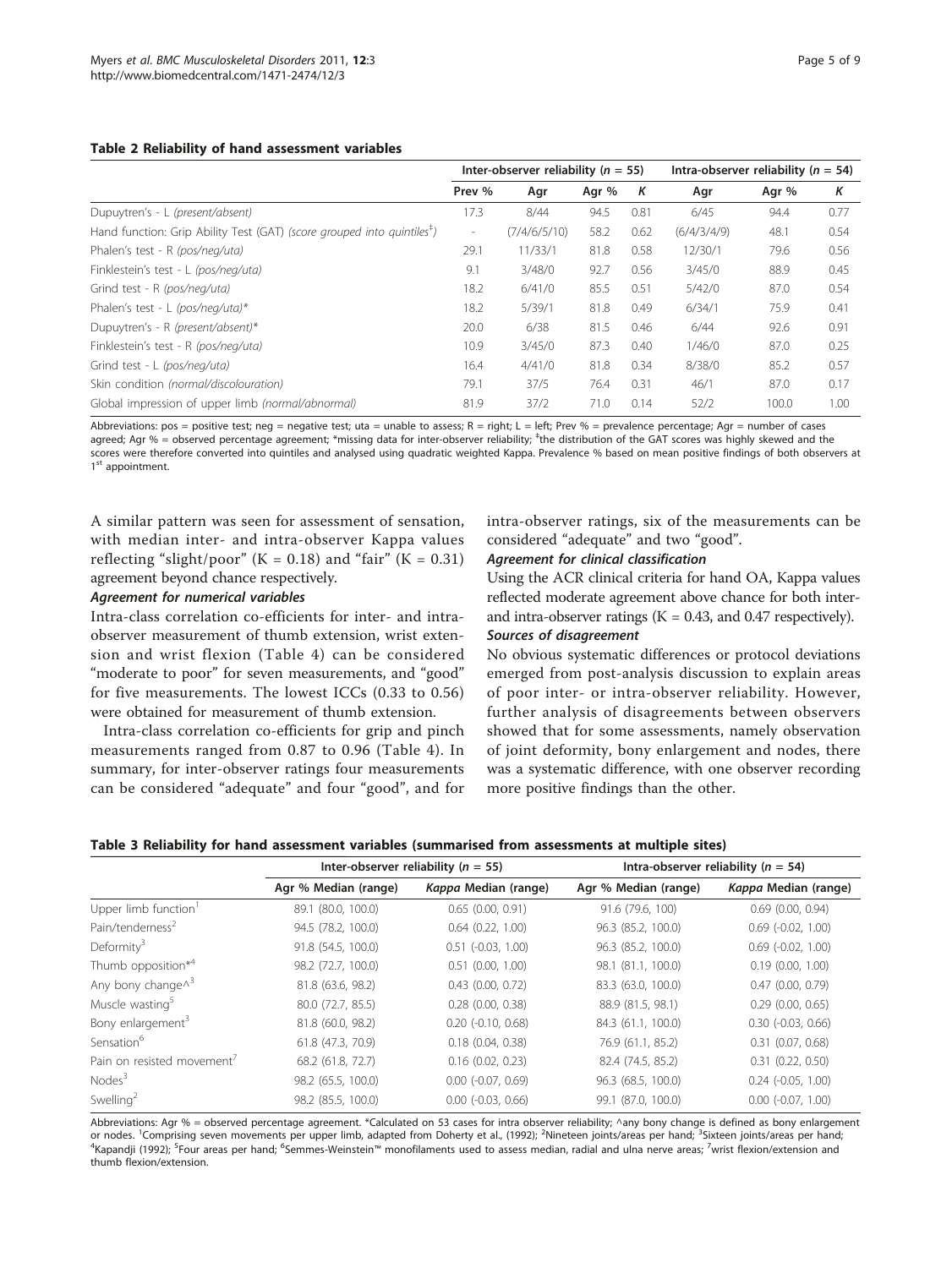#### <span id="page-4-0"></span>Table 2 Reliability of hand assessment variables

|                                                                                     | Inter-observer reliability ( $n = 55$ ) |              |       | Intra-observer reliability ( $n = 54$ ) |             |       |      |
|-------------------------------------------------------------------------------------|-----------------------------------------|--------------|-------|-----------------------------------------|-------------|-------|------|
|                                                                                     | Prev %                                  | Agr          | Agr % | К                                       | Agr         | Agr % | К    |
| Dupuytren's - L (present/absent)                                                    | 17.3                                    | 8/44         | 94.5  | 0.81                                    | 6/45        | 94.4  | 0.77 |
| Hand function: Grip Ability Test (GAT) (score grouped into quintiles <sup>#</sup> ) | $\overline{\phantom{a}}$                | (7/4/6/5/10) | 58.2  | 0.62                                    | (6/4/3/4/9) | 48.1  | 0.54 |
| Phalen's test - R (pos/neg/uta)                                                     | 29.1                                    | 11/33/1      | 81.8  | 0.58                                    | 12/30/1     | 79.6  | 0.56 |
| Finklestein's test - L (pos/neg/uta)                                                | 9.1                                     | 3/48/0       | 92.7  | 0.56                                    | 3/45/0      | 88.9  | 0.45 |
| Grind test - R (pos/neg/uta)                                                        | 18.2                                    | 6/41/0       | 85.5  | 0.51                                    | 5/42/0      | 87.0  | 0.54 |
| Phalen's test - L (pos/neg/uta)*                                                    | 18.2                                    | 5/39/1       | 81.8  | 0.49                                    | 6/34/1      | 75.9  | 0.41 |
| Dupuytren's - R (present/absent)*                                                   | 20.0                                    | 6/38         | 81.5  | 0.46                                    | 6/44        | 92.6  | 0.91 |
| Finklestein's test - R (pos/neg/uta)                                                | 10.9                                    | 3/45/0       | 87.3  | 0.40                                    | 1/46/0      | 87.0  | 0.25 |
| Grind test - L (pos/neg/uta)                                                        | 16.4                                    | 4/41/0       | 81.8  | 0.34                                    | 8/38/0      | 85.2  | 0.57 |
| Skin condition (normal/discolouration)                                              | 79.1                                    | 37/5         | 76.4  | 0.31                                    | 46/1        | 87.0  | 0.17 |
| Global impression of upper limb (normal/abnormal)                                   | 81.9                                    | 37/2         | 71.0  | 0.14                                    | 52/2        | 100.0 | 1.00 |

Abbreviations: pos = positive test; neg = negative test; uta = unable to assess; R = right; L = left; Prev % = prevalence percentage; Agr = number of cases agreed; Agr % = observed percentage agreement; \*missing data for inter-observer reliability; ‡ the distribution of the GAT scores was highly skewed and the scores were therefore converted into quintiles and analysed using quadratic weighted Kappa. Prevalence % based on mean positive findings of both observers at 1<sup>st</sup> appointment.

A similar pattern was seen for assessment of sensation, with median inter- and intra-observer Kappa values reflecting "slight/poor" ( $K = 0.18$ ) and "fair" ( $K = 0.31$ ) agreement beyond chance respectively.

## Agreement for numerical variables

Intra-class correlation co-efficients for inter- and intraobserver measurement of thumb extension, wrist extension and wrist flexion (Table [4](#page-5-0)) can be considered "moderate to poor" for seven measurements, and "good" for five measurements. The lowest ICCs (0.33 to 0.56) were obtained for measurement of thumb extension.

Intra-class correlation co-efficients for grip and pinch measurements ranged from 0.87 to 0.96 (Table [4](#page-5-0)). In summary, for inter-observer ratings four measurements can be considered "adequate" and four "good", and for intra-observer ratings, six of the measurements can be considered "adequate" and two "good".

## Agreement for clinical classification

Using the ACR clinical criteria for hand OA, Kappa values reflected moderate agreement above chance for both interand intra-observer ratings ( $K = 0.43$ , and 0.47 respectively).

## Sources of disagreement

No obvious systematic differences or protocol deviations emerged from post-analysis discussion to explain areas of poor inter- or intra-observer reliability. However, further analysis of disagreements between observers showed that for some assessments, namely observation of joint deformity, bony enlargement and nodes, there was a systematic difference, with one observer recording more positive findings than the other.

| Table 3 Reliability for hand assessment variables (summarised from assessments at multiple sites) |  |  |  |  |  |  |  |
|---------------------------------------------------------------------------------------------------|--|--|--|--|--|--|--|
|---------------------------------------------------------------------------------------------------|--|--|--|--|--|--|--|

|                                |                      | Inter-observer reliability ( $n = 55$ ) | Intra-observer reliability ( $n = 54$ ) |                             |  |  |
|--------------------------------|----------------------|-----------------------------------------|-----------------------------------------|-----------------------------|--|--|
|                                | Agr % Median (range) | Kappa Median (range)                    | Agr % Median (range)                    | Kappa Median (range)        |  |  |
| Upper limb function            | 89.1 (80.0, 100.0)   | $0.65$ $(0.00, 0.91)$                   | 91.6 (79.6, 100)                        | $0.69$ $(0.00, 0.94)$       |  |  |
| Pain/tenderness <sup>2</sup>   | 94.5 (78.2, 100.0)   | $0.64$ $(0.22, 1.00)$                   | 96.3 (85.2, 100.0)                      | $0.69$ $(-0.02, 1.00)$      |  |  |
| Deformity <sup>3</sup>         | 91.8 (54.5, 100.0)   | $0.51$ ( $-0.03$ , $1.00$ )             | 96.3 (85.2, 100.0)                      | $0.69$ $(-0.02, 1.00)$      |  |  |
| Thumb opposition <sup>*4</sup> | 98.2 (72.7, 100.0)   | $0.51$ (0.00, 1.00)                     | 98.1 (81.1, 100.0)                      | $0.19$ $(0.00, 1.00)$       |  |  |
| Any bony change $\wedge^3$     | 81.8 (63.6, 98.2)    | $0.43$ $(0.00, 0.72)$                   | 83.3 (63.0, 100.0)                      | $0.47$ $(0.00, 0.79)$       |  |  |
| Muscle wasting <sup>5</sup>    | 80.0 (72.7, 85.5)    | $0.28$ $(0.00, 0.38)$                   | 88.9 (81.5, 98.1)                       | $0.29$ (0.00, 0.65)         |  |  |
| Bony enlargement <sup>3</sup>  | 81.8 (60.0, 98.2)    | $0.20$ ( $-0.10$ , $0.68$ )             | 84.3 (61.1, 100.0)                      | $0.30$ ( $-0.03$ , $0.66$ ) |  |  |
| Sensation <sup>6</sup>         | 61.8 (47.3, 70.9)    | $0.18$ $(0.04, 0.38)$                   | 76.9 (61.1, 85.2)                       | $0.31$ $(0.07, 0.68)$       |  |  |
| Pain on resisted movement      | 68.2 (61.8, 72.7)    | $0.16$ $(0.02, 0.23)$                   | 82.4 (74.5, 85.2)                       | $0.31$ $(0.22, 0.50)$       |  |  |
| Nodes <sup>3</sup>             | 98.2 (65.5, 100.0)   | $0.00$ ( $-0.07$ , $0.69$ )             | 96.3 (68.5, 100.0)                      | $0.24$ $(-0.05, 1.00)$      |  |  |
| Swelling <sup>2</sup>          | 98.2 (85.5, 100.0)   | $0.00$ $(-0.03, 0.66)$                  | 99.1 (87.0, 100.0)                      | $0.00$ ( $-0.07$ , $1.00$ ) |  |  |

Abbreviations: Agr % = observed percentage agreement. \*Calculated on 53 cases for intra observer reliability; ^any bony change is defined as bony enlargement or nodes. 'Comprising seven movements per upper limb, adapted from Doherty et al., (1992); <sup>2</sup>Nineteen joints/areas per hand; <sup>3</sup>Sixteen joints/areas per hand;<br><sup>4</sup>Kapandii (1992): <sup>5</sup>Eour areas per hand: <sup>6</sup>Semmes-Meinste Kapandji (1992); <sup>s</sup>Four areas per hand; <sup>6</sup>Semmes-Weinstein™ monofilaments used to assess median, radial and ulna nerve areas; <sup>7</sup>wrist flexion/extension and thumb flexion/extension.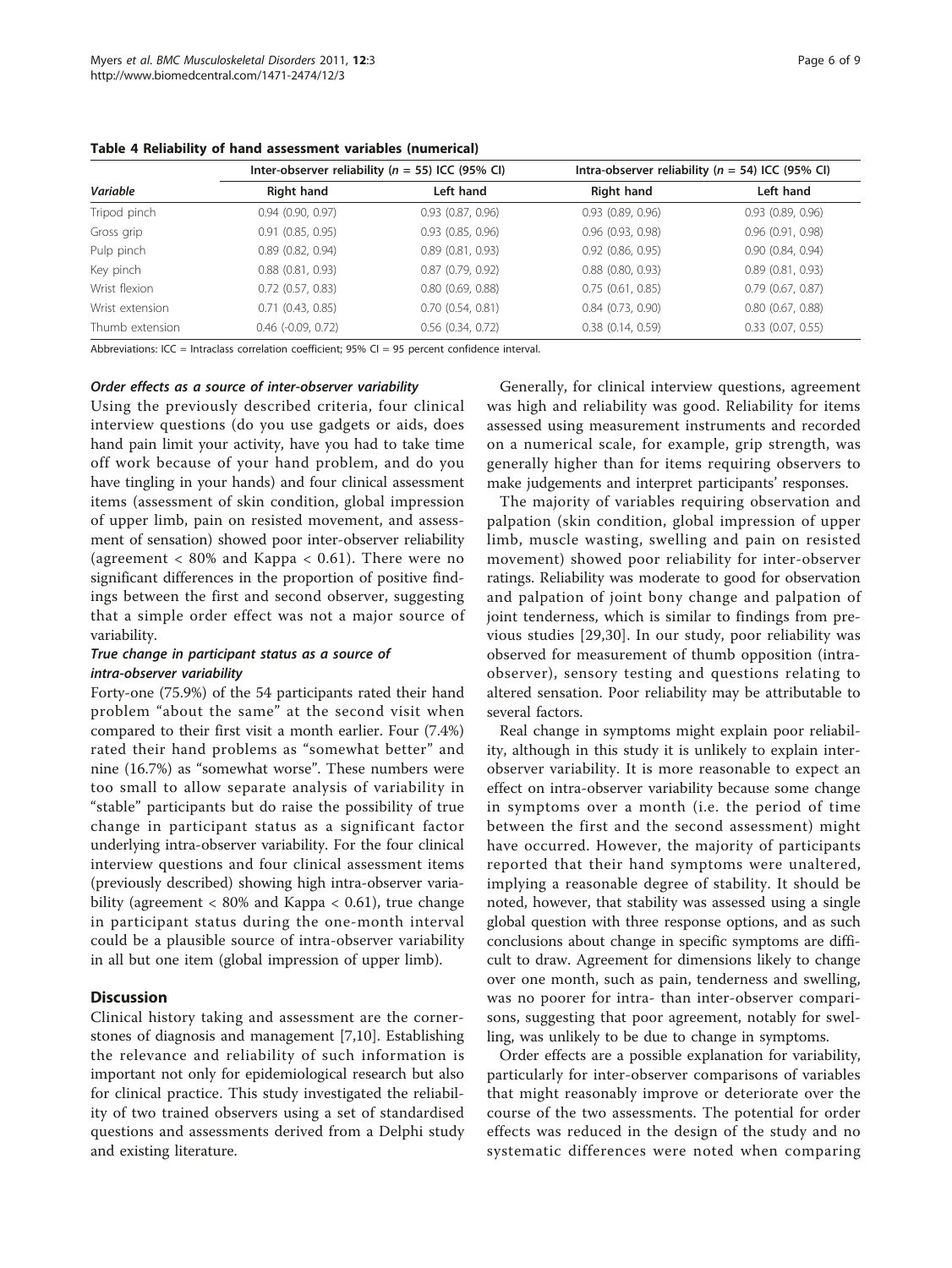|                 | Inter-observer reliability ( $n = 55$ ) ICC (95% CI) |                       | Intra-observer reliability ( $n = 54$ ) ICC (95% CI) |                       |  |  |
|-----------------|------------------------------------------------------|-----------------------|------------------------------------------------------|-----------------------|--|--|
| Variable        | Right hand                                           | Left hand             | Right hand                                           | Left hand             |  |  |
| Tripod pinch    | $0.94$ $(0.90, 0.97)$                                | $0.93$ $(0.87, 0.96)$ | 0.93(0.89, 0.96)                                     | 0.93(0.89, 0.96)      |  |  |
| Gross grip      | $0.91$ $(0.85, 0.95)$                                | $0.93$ $(0.85, 0.96)$ | $0.96$ $(0.93, 0.98)$                                | 0.96(0.91, 0.98)      |  |  |
| Pulp pinch      | $0.89$ $(0.82, 0.94)$                                | 0.89(0.81, 0.93)      | $0.92$ $(0.86, 0.95)$                                | 0.90(0.84, 0.94)      |  |  |
| Key pinch       | $0.88$ $(0.81, 0.93)$                                | $0.87$ $(0.79, 0.92)$ | $0.88$ $(0.80, 0.93)$                                | 0.89(0.81, 0.93)      |  |  |
| Wrist flexion   | $0.72$ $(0.57, 0.83)$                                | $0.80$ $(0.69, 0.88)$ | 0.75(0.61, 0.85)                                     | $0.79$ $(0.67, 0.87)$ |  |  |
| Wrist extension | $0.71$ $(0.43, 0.85)$                                | $0.70$ $(0.54, 0.81)$ | $0.84$ $(0.73, 0.90)$                                | $0.80$ $(0.67, 0.88)$ |  |  |
| Thumb extension | $0.46$ ( $-0.09$ , $0.72$ )                          | $0.56$ $(0.34, 0.72)$ | $0.38$ $(0.14, 0.59)$                                | $0.33$ $(0.07, 0.55)$ |  |  |

<span id="page-5-0"></span>Table 4 Reliability of hand assessment variables (numerical)

Abbreviations: ICC = Intraclass correlation coefficient; 95% CI = 95 percent confidence interval.

#### Order effects as a source of inter-observer variability

Using the previously described criteria, four clinical interview questions (do you use gadgets or aids, does hand pain limit your activity, have you had to take time off work because of your hand problem, and do you have tingling in your hands) and four clinical assessment items (assessment of skin condition, global impression of upper limb, pain on resisted movement, and assessment of sensation) showed poor inter-observer reliability (agreement < 80% and Kappa < 0.61). There were no significant differences in the proportion of positive findings between the first and second observer, suggesting that a simple order effect was not a major source of variability.

## True change in participant status as a source of intra-observer variability

Forty-one (75.9%) of the 54 participants rated their hand problem "about the same" at the second visit when compared to their first visit a month earlier. Four (7.4%) rated their hand problems as "somewhat better" and nine (16.7%) as "somewhat worse". These numbers were too small to allow separate analysis of variability in "stable" participants but do raise the possibility of true change in participant status as a significant factor underlying intra-observer variability. For the four clinical interview questions and four clinical assessment items (previously described) showing high intra-observer variability (agreement  $< 80\%$  and Kappa  $< 0.61$ ), true change in participant status during the one-month interval could be a plausible source of intra-observer variability in all but one item (global impression of upper limb).

## **Discussion**

Clinical history taking and assessment are the cornerstones of diagnosis and management [[7,10\]](#page-7-0). Establishing the relevance and reliability of such information is important not only for epidemiological research but also for clinical practice. This study investigated the reliability of two trained observers using a set of standardised questions and assessments derived from a Delphi study and existing literature.

Generally, for clinical interview questions, agreement was high and reliability was good. Reliability for items assessed using measurement instruments and recorded on a numerical scale, for example, grip strength, was generally higher than for items requiring observers to make judgements and interpret participants' responses.

The majority of variables requiring observation and palpation (skin condition, global impression of upper limb, muscle wasting, swelling and pain on resisted movement) showed poor reliability for inter-observer ratings. Reliability was moderate to good for observation and palpation of joint bony change and palpation of joint tenderness, which is similar to findings from previous studies [\[29](#page-8-0),[30\]](#page-8-0). In our study, poor reliability was observed for measurement of thumb opposition (intraobserver), sensory testing and questions relating to altered sensation. Poor reliability may be attributable to several factors.

Real change in symptoms might explain poor reliability, although in this study it is unlikely to explain interobserver variability. It is more reasonable to expect an effect on intra-observer variability because some change in symptoms over a month (i.e. the period of time between the first and the second assessment) might have occurred. However, the majority of participants reported that their hand symptoms were unaltered, implying a reasonable degree of stability. It should be noted, however, that stability was assessed using a single global question with three response options, and as such conclusions about change in specific symptoms are difficult to draw. Agreement for dimensions likely to change over one month, such as pain, tenderness and swelling, was no poorer for intra- than inter-observer comparisons, suggesting that poor agreement, notably for swelling, was unlikely to be due to change in symptoms.

Order effects are a possible explanation for variability, particularly for inter-observer comparisons of variables that might reasonably improve or deteriorate over the course of the two assessments. The potential for order effects was reduced in the design of the study and no systematic differences were noted when comparing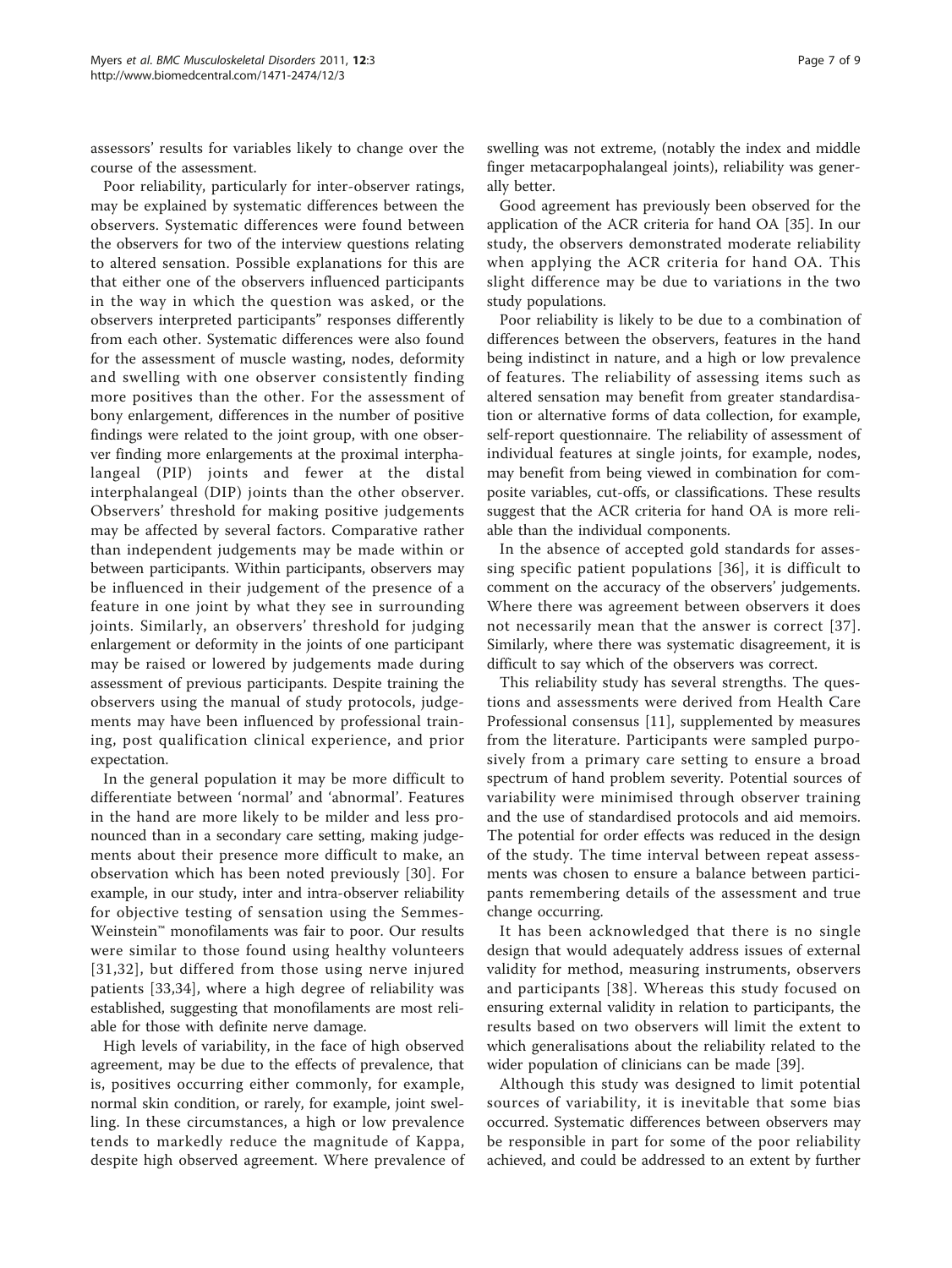assessors' results for variables likely to change over the course of the assessment.

Poor reliability, particularly for inter-observer ratings, may be explained by systematic differences between the observers. Systematic differences were found between the observers for two of the interview questions relating to altered sensation. Possible explanations for this are that either one of the observers influenced participants in the way in which the question was asked, or the observers interpreted participants" responses differently from each other. Systematic differences were also found for the assessment of muscle wasting, nodes, deformity and swelling with one observer consistently finding more positives than the other. For the assessment of bony enlargement, differences in the number of positive findings were related to the joint group, with one observer finding more enlargements at the proximal interphalangeal (PIP) joints and fewer at the distal interphalangeal (DIP) joints than the other observer. Observers' threshold for making positive judgements may be affected by several factors. Comparative rather than independent judgements may be made within or between participants. Within participants, observers may be influenced in their judgement of the presence of a feature in one joint by what they see in surrounding joints. Similarly, an observers' threshold for judging enlargement or deformity in the joints of one participant may be raised or lowered by judgements made during assessment of previous participants. Despite training the observers using the manual of study protocols, judgements may have been influenced by professional training, post qualification clinical experience, and prior expectation.

In the general population it may be more difficult to differentiate between 'normal' and 'abnormal'. Features in the hand are more likely to be milder and less pronounced than in a secondary care setting, making judgements about their presence more difficult to make, an observation which has been noted previously [[30](#page-8-0)]. For example, in our study, inter and intra-observer reliability for objective testing of sensation using the Semmes-Weinstein™ monofilaments was fair to poor. Our results were similar to those found using healthy volunteers [[31,32](#page-8-0)], but differed from those using nerve injured patients [[33](#page-8-0),[34\]](#page-8-0), where a high degree of reliability was established, suggesting that monofilaments are most reliable for those with definite nerve damage.

High levels of variability, in the face of high observed agreement, may be due to the effects of prevalence, that is, positives occurring either commonly, for example, normal skin condition, or rarely, for example, joint swelling. In these circumstances, a high or low prevalence tends to markedly reduce the magnitude of Kappa, despite high observed agreement. Where prevalence of swelling was not extreme, (notably the index and middle finger metacarpophalangeal joints), reliability was generally better.

Good agreement has previously been observed for the application of the ACR criteria for hand OA [\[35\]](#page-8-0). In our study, the observers demonstrated moderate reliability when applying the ACR criteria for hand OA. This slight difference may be due to variations in the two study populations.

Poor reliability is likely to be due to a combination of differences between the observers, features in the hand being indistinct in nature, and a high or low prevalence of features. The reliability of assessing items such as altered sensation may benefit from greater standardisation or alternative forms of data collection, for example, self-report questionnaire. The reliability of assessment of individual features at single joints, for example, nodes, may benefit from being viewed in combination for composite variables, cut-offs, or classifications. These results suggest that the ACR criteria for hand OA is more reliable than the individual components.

In the absence of accepted gold standards for assessing specific patient populations [[36](#page-8-0)], it is difficult to comment on the accuracy of the observers' judgements. Where there was agreement between observers it does not necessarily mean that the answer is correct [\[37\]](#page-8-0). Similarly, where there was systematic disagreement, it is difficult to say which of the observers was correct.

This reliability study has several strengths. The questions and assessments were derived from Health Care Professional consensus [[11\]](#page-7-0), supplemented by measures from the literature. Participants were sampled purposively from a primary care setting to ensure a broad spectrum of hand problem severity. Potential sources of variability were minimised through observer training and the use of standardised protocols and aid memoirs. The potential for order effects was reduced in the design of the study. The time interval between repeat assessments was chosen to ensure a balance between participants remembering details of the assessment and true change occurring.

It has been acknowledged that there is no single design that would adequately address issues of external validity for method, measuring instruments, observers and participants [[38](#page-8-0)]. Whereas this study focused on ensuring external validity in relation to participants, the results based on two observers will limit the extent to which generalisations about the reliability related to the wider population of clinicians can be made [\[39](#page-8-0)].

Although this study was designed to limit potential sources of variability, it is inevitable that some bias occurred. Systematic differences between observers may be responsible in part for some of the poor reliability achieved, and could be addressed to an extent by further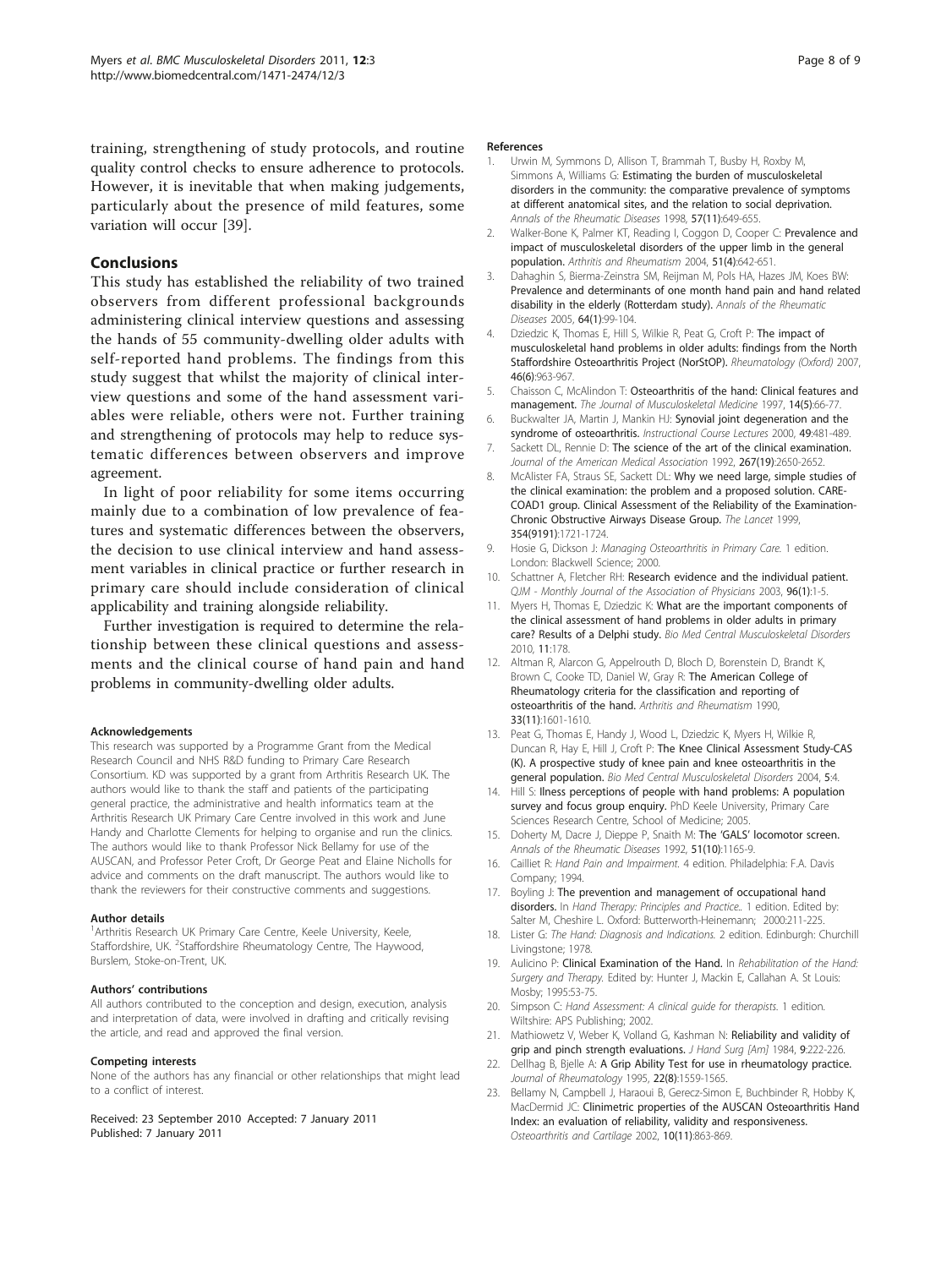<span id="page-7-0"></span>training, strengthening of study protocols, and routine quality control checks to ensure adherence to protocols. However, it is inevitable that when making judgements, particularly about the presence of mild features, some variation will occur [\[39](#page-8-0)].

## Conclusions

This study has established the reliability of two trained observers from different professional backgrounds administering clinical interview questions and assessing the hands of 55 community-dwelling older adults with self-reported hand problems. The findings from this study suggest that whilst the majority of clinical interview questions and some of the hand assessment variables were reliable, others were not. Further training and strengthening of protocols may help to reduce systematic differences between observers and improve agreement.

In light of poor reliability for some items occurring mainly due to a combination of low prevalence of features and systematic differences between the observers, the decision to use clinical interview and hand assessment variables in clinical practice or further research in primary care should include consideration of clinical applicability and training alongside reliability.

Further investigation is required to determine the relationship between these clinical questions and assessments and the clinical course of hand pain and hand problems in community-dwelling older adults.

#### Acknowledgements

This research was supported by a Programme Grant from the Medical Research Council and NHS R&D funding to Primary Care Research Consortium. KD was supported by a grant from Arthritis Research UK. The authors would like to thank the staff and patients of the participating general practice, the administrative and health informatics team at the Arthritis Research UK Primary Care Centre involved in this work and June Handy and Charlotte Clements for helping to organise and run the clinics. The authors would like to thank Professor Nick Bellamy for use of the AUSCAN, and Professor Peter Croft, Dr George Peat and Elaine Nicholls for advice and comments on the draft manuscript. The authors would like to thank the reviewers for their constructive comments and suggestions.

#### Author details

<sup>1</sup> Arthritis Research UK Primary Care Centre, Keele University, Keele, Staffordshire, UK. <sup>2</sup>Staffordshire Rheumatology Centre, The Haywood, Burslem, Stoke-on-Trent, UK.

#### Authors' contributions

All authors contributed to the conception and design, execution, analysis and interpretation of data, were involved in drafting and critically revising the article, and read and approved the final version.

#### Competing interests

None of the authors has any financial or other relationships that might lead to a conflict of interest.

Received: 23 September 2010 Accepted: 7 January 2011 Published: 7 January 2011

#### References

- 1. Urwin M, Symmons D, Allison T, Brammah T, Busby H, Roxby M, Simmons A, Williams G: [Estimating the burden of musculoskeletal](http://www.ncbi.nlm.nih.gov/pubmed/9924205?dopt=Abstract) [disorders in the community: the comparative prevalence of symptoms](http://www.ncbi.nlm.nih.gov/pubmed/9924205?dopt=Abstract) [at different anatomical sites, and the relation to social deprivation.](http://www.ncbi.nlm.nih.gov/pubmed/9924205?dopt=Abstract) Annals of the Rheumatic Diseases 1998, 57(11):649-655.
- 2. Walker-Bone K, Palmer KT, Reading I, Coggon D, Cooper C: [Prevalence and](http://www.ncbi.nlm.nih.gov/pubmed/15334439?dopt=Abstract) [impact of musculoskeletal disorders of the upper limb in the general](http://www.ncbi.nlm.nih.gov/pubmed/15334439?dopt=Abstract) [population.](http://www.ncbi.nlm.nih.gov/pubmed/15334439?dopt=Abstract) Arthritis and Rheumatism 2004, 51(4):642-651.
- 3. Dahaghin S, Bierma-Zeinstra SM, Reijman M, Pols HA, Hazes JM, Koes BW: [Prevalence and determinants of one month hand pain and hand related](http://www.ncbi.nlm.nih.gov/pubmed/15608306?dopt=Abstract) [disability in the elderly \(Rotterdam study\).](http://www.ncbi.nlm.nih.gov/pubmed/15608306?dopt=Abstract) Annals of the Rheumatic Diseases 2005, 64(1):99-104.
- Dziedzic K, Thomas E, Hill S, Wilkie R, Peat G, Croft P: [The impact of](http://www.ncbi.nlm.nih.gov/pubmed/17329350?dopt=Abstract) [musculoskeletal hand problems in older adults: findings from the North](http://www.ncbi.nlm.nih.gov/pubmed/17329350?dopt=Abstract) [Staffordshire Osteoarthritis Project \(NorStOP\).](http://www.ncbi.nlm.nih.gov/pubmed/17329350?dopt=Abstract) Rheumatology (Oxford) 2007, 46(6):963-967.
- 5. Chaisson C, McAlindon T: Osteoarthritis of the hand: Clinical features and management. The Journal of Musculoskeletal Medicine 1997, 14(5):66-7
- 6. Buckwalter JA, Martin J, Mankin HJ: [Synovial joint degeneration and the](http://www.ncbi.nlm.nih.gov/pubmed/10829201?dopt=Abstract) [syndrome of osteoarthritis.](http://www.ncbi.nlm.nih.gov/pubmed/10829201?dopt=Abstract) Instructional Course Lectures 2000, 49:481-489.
- 7. Sackett DL, Rennie D: [The science of the art of the clinical examination.](http://www.ncbi.nlm.nih.gov/pubmed/1573756?dopt=Abstract) Journal of the American Medical Association 1992, 267(19):2650-2652.
- 8. McAlister FA, Straus SE, Sackett DL: Why we need large, simple studies of the clinical examination: the problem and a proposed solution. CARE-COAD1 group. Clinical Assessment of the Reliability of the Examination-Chronic Obstructive Airways Disease Group. The Lancet 1999, 354(9191):1721-1724.
- 9. Hosie G, Dickson J: Managing Osteoarthritis in Primary Care. 1 edition. London: Blackwell Science; 2000.
- 10. Schattner A, Fletcher RH: [Research evidence and the individual patient.](http://www.ncbi.nlm.nih.gov/pubmed/12509644?dopt=Abstract) QJM - Monthly Journal of the Association of Physicians 2003, 96(1):1-5.
- 11. Myers H, Thomas E, Dziedzic K: What are the important components of the clinical assessment of hand problems in older adults in primary care? Results of a Delphi study. Bio Med Central Musculoskeletal Disorders 2010, 11:178.
- 12. Altman R, Alarcon G, Appelrouth D, Bloch D, Borenstein D, Brandt K, Brown C, Cooke TD, Daniel W, Gray R: [The American College of](http://www.ncbi.nlm.nih.gov/pubmed/2242058?dopt=Abstract) [Rheumatology criteria for the classification and reporting of](http://www.ncbi.nlm.nih.gov/pubmed/2242058?dopt=Abstract) [osteoarthritis of the hand.](http://www.ncbi.nlm.nih.gov/pubmed/2242058?dopt=Abstract) Arthritis and Rheumatism 1990, 33(11):1601-1610.
- 13. Peat G, Thomas E, Handy J, Wood L, Dziedzic K, Myers H, Wilkie R, Duncan R, Hay E, Hill J, Croft P: The Knee Clinical Assessment Study-CAS (K). A prospective study of knee pain and knee osteoarthritis in the general population. Bio Med Central Musculoskeletal Disorders 2004, 5:4.
- 14. Hill S: Ilness perceptions of people with hand problems: A population survey and focus group enquiry. PhD Keele University, Primary Care Sciences Research Centre, School of Medicine; 2005.
- 15. Doherty M, Dacre J, Dieppe P, Snaith M: The 'GALS' [locomotor](http://www.ncbi.nlm.nih.gov/pubmed/1444632?dopt=Abstract) screen. Annals of the Rheumatic Diseases 1992, 51(10):1165-9.
- 16. Cailliet R: Hand Pain and Impairment. 4 edition. Philadelphia: F.A. Davis Company; 1994.
- 17. Boyling J: The prevention and management of occupational hand disorders. In Hand Therapy: Principles and Practice.. 1 edition. Edited by: Salter M, Cheshire L. Oxford: Butterworth-Heinemann; 2000:211-225.
- 18. Lister G: The Hand: Diagnosis and Indications. 2 edition. Edinburgh: Churchill Livingstone; 1978.
- 19. Aulicino P: Clinical Examination of the Hand. In Rehabilitation of the Hand: Surgery and Therapy. Edited by: Hunter J, Mackin E, Callahan A. St Louis: Mosby; 1995:53-75.
- 20. Simpson C: Hand Assessment: A clinical quide for therapists. 1 edition. Wiltshire: APS Publishing; 2002.
- 21. Mathiowetz V, Weber K, Volland G, Kashman N: [Reliability and validity of](http://www.ncbi.nlm.nih.gov/pubmed/6715829?dopt=Abstract) [grip and pinch strength evaluations.](http://www.ncbi.nlm.nih.gov/pubmed/6715829?dopt=Abstract) J Hand Surg [Am] 1984, 9:222-226.
- 22. Dellhag B, Bjelle A: [A Grip Ability Test for use in rheumatology practice.](http://www.ncbi.nlm.nih.gov/pubmed/7473483?dopt=Abstract) Journal of Rheumatology 1995, 22(8):1559-1565.
- 23. Bellamy N, Campbell J, Haraoui B, Gerecz-Simon E, Buchbinder R, Hobby K, MacDermid JC: [Clinimetric properties of the AUSCAN Osteoarthritis Hand](http://www.ncbi.nlm.nih.gov/pubmed/12435331?dopt=Abstract) [Index: an evaluation of reliability, validity and responsiveness.](http://www.ncbi.nlm.nih.gov/pubmed/12435331?dopt=Abstract) Osteoarthritis and Cartilage 2002, 10(11):863-869.